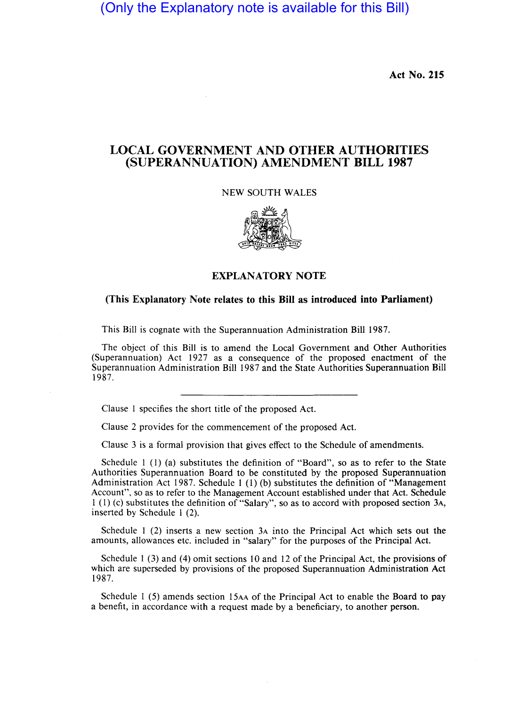(Only the Explanatory note is available for this Bill)

Act No. 215

## LOCAL GOVERNMENT AND OTHER AUTHORITIES (SUPERANNUATION) AMENDMENT BILL 1987

NEW SOUTH WALES



## EXPLANATORY NOTE

## (This Explanatory Note relates to this Bill as introduced into Parliament)

This Bill is cognate with the Superannuation Administration Bill 1987.

The object of this Bill is to amend the Local Government and Other Authorities (Superannuation) Act 1927 as a consequence of the proposed enactment of the Superannuation Administration Bill 1987 and the State Authorities Superannuation Bill 1987.

Clause 1 specifies the short title of the proposed Act.

Clause 2 provides for the commencement of the proposed Act.

Clause 3 is a formal provision that gives effect to the Schedule of amendments.

Schedule 1 (I) (a) substitutes the definition of "Board", so as to refer to the State Authorities Superannuation Board to be constituted by the proposed Superannuation Administration Act 1987. Schedule 1 (I) (b) substitutes the definition of "Management Account", so as to refer to the Management Account established under that Act. Schedule 1 (1) (c) substitutes the definition of "Salary", so as to accord with proposed section 3A, inserted by Schedule 1 (2).

Schedule 1 (2) inserts a new section 3A into the Principal Act which sets out the amounts, allowances etc. included in "salary" for the purposes of the Principal Act.

Schedule 1 (3) and (4) omit sections 10 and 12 of the Principal Act, the provisions of which are superseded by provisions of the proposed Superannuation Administration Act 1987.

Schedule 1 (5) amends section 15AA of the Principal Act to enable the Board to pay a benefit, in accordance with a request made by a beneficiary, to another person.